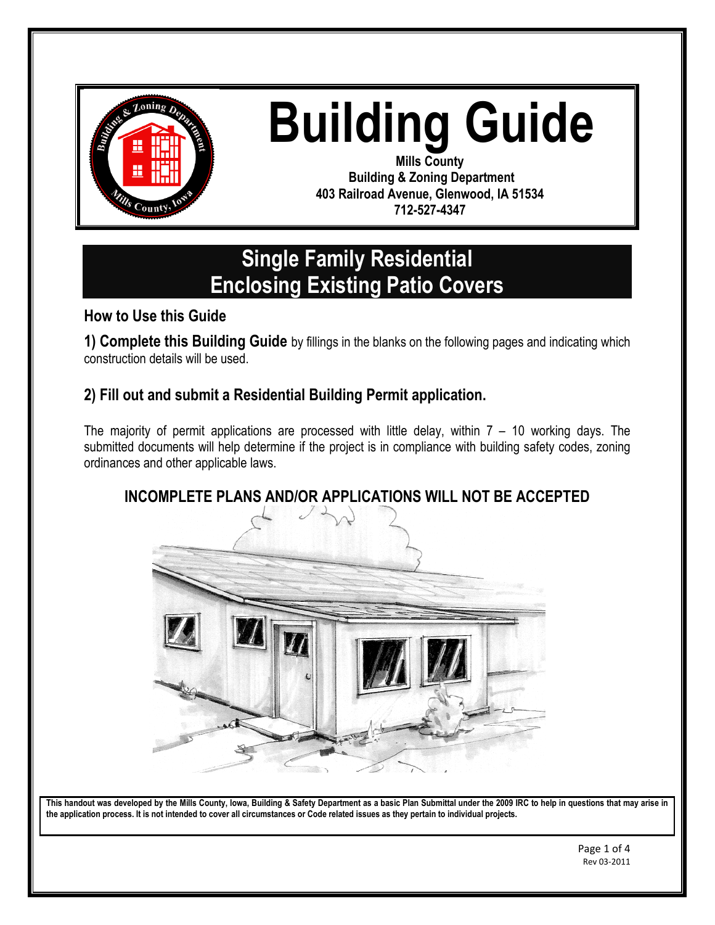

# **Building Guide**

**Mills County Building & Zoning Department 403 Railroad Avenue, Glenwood, IA 51534 712-527-4347**

## **Single Family Residential Enclosing Existing Patio Covers**

#### **How to Use this Guide**

**1) Complete this Building Guide** by fillings in the blanks on the following pages and indicating which construction details will be used.

#### **2) Fill out and submit a Residential Building Permit application.**

The majority of permit applications are processed with little delay, within 7 – 10 working days. The submitted documents will help determine if the project is in compliance with building safety codes, zoning ordinances and other applicable laws.



#### **INCOMPLETE PLANS AND/OR APPLICATIONS WILL NOT BE ACCEPTED**

**This handout was developed by the Mills County, Iowa, Building & Safety Department as a basic Plan Submittal under the 2009 IRC to help in questions that may arise in the application process. It is not intended to cover all circumstances or Code related issues as they pertain to individual projects.**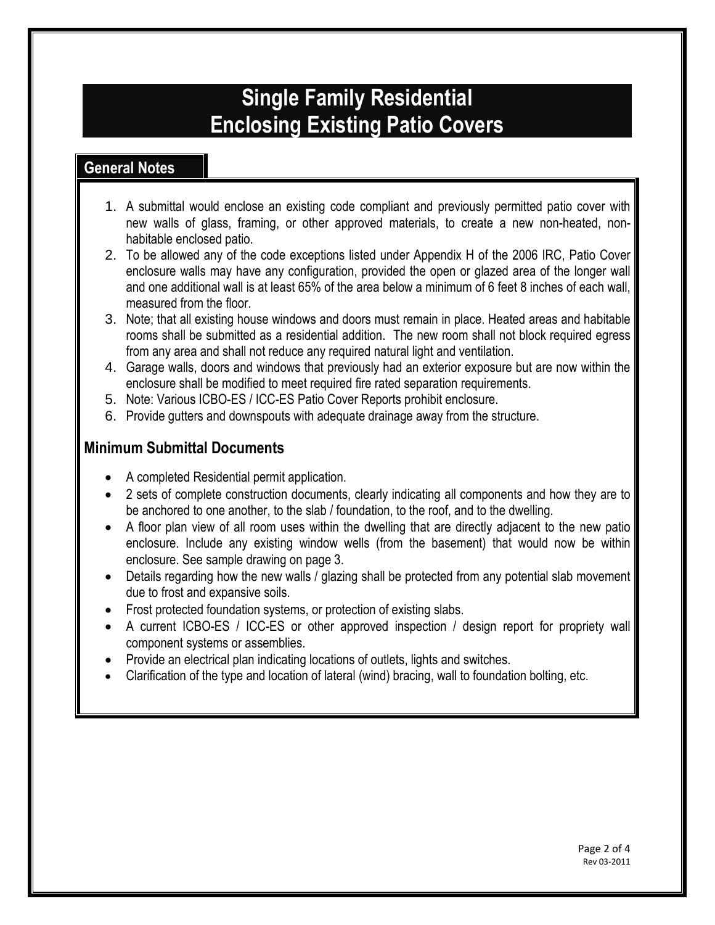### **Single Family Residential Enclosing Existing Patio Covers**

#### **General Notes**

- 1. A submittal would enclose an existing code compliant and previously permitted patio cover with new walls of glass, framing, or other approved materials, to create a new non-heated, nonhabitable enclosed patio.
- 2. To be allowed any of the code exceptions listed under Appendix H of the 2006 IRC, Patio Cover enclosure walls may have any configuration, provided the open or glazed area of the longer wall and one additional wall is at least 65% of the area below a minimum of 6 feet 8 inches of each wall, measured from the floor.
- 3. Note; that all existing house windows and doors must remain in place. Heated areas and habitable rooms shall be submitted as a residential addition. The new room shall not block required egress from any area and shall not reduce any required natural light and ventilation.
- 4. Garage walls, doors and windows that previously had an exterior exposure but are now within the enclosure shall be modified to meet required fire rated separation requirements.
- 5. Note: Various ICBO-ES / ICC-ES Patio Cover Reports prohibit enclosure.
- 6. Provide gutters and downspouts with adequate drainage away from the structure.

#### **Minimum Submittal Documents**

- A completed Residential permit application.
- 2 sets of complete construction documents, clearly indicating all components and how they are to be anchored to one another, to the slab / foundation, to the roof, and to the dwelling.
- A floor plan view of all room uses within the dwelling that are directly adjacent to the new patio enclosure. Include any existing window wells (from the basement) that would now be within enclosure. See sample drawing on page 3.
- Details regarding how the new walls / glazing shall be protected from any potential slab movement due to frost and expansive soils.
- Frost protected foundation systems, or protection of existing slabs.
- A current ICBO-ES / ICC-ES or other approved inspection / design report for propriety wall component systems or assemblies.
- Provide an electrical plan indicating locations of outlets, lights and switches.
- Clarification of the type and location of lateral (wind) bracing, wall to foundation bolting, etc.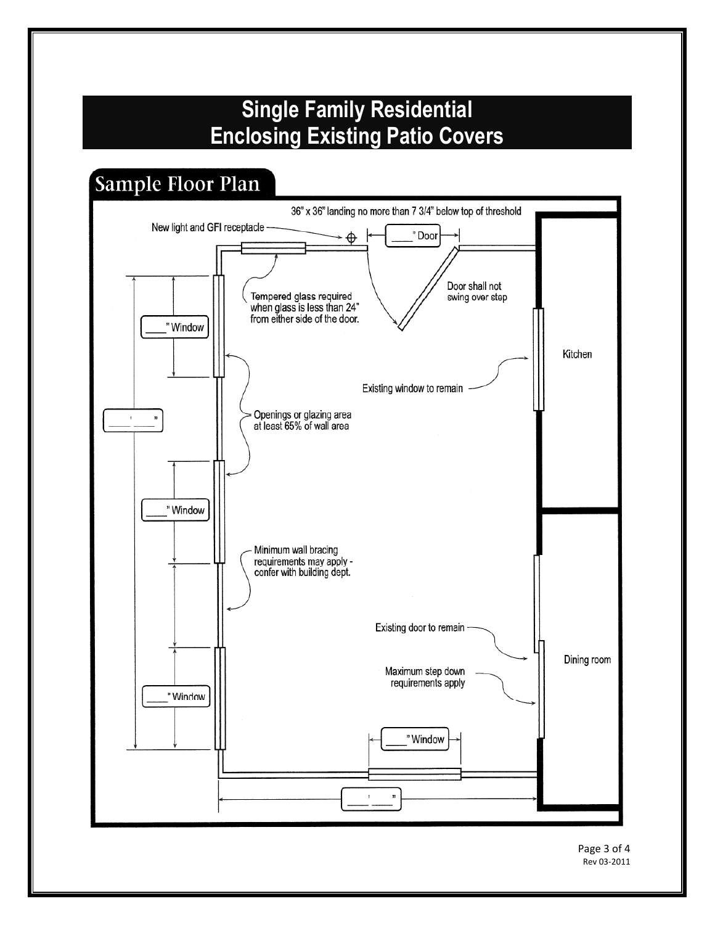# **Single Family Residential Enclosing Existing Patio Covers**

## Sample Floor Plan



Rev 03-2011